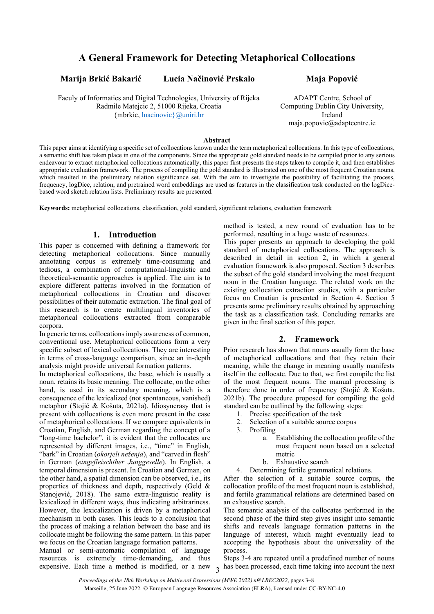# **A General Framework for Detecting Metaphorical Collocations**

**Marija Brkić Bakarić Lucia Načinović Prskalo Maja Popović**

Faculy of Informatics and Digital Technologies, University of Rijeka Radmile Matejcic 2, 51000 Rijeka, Croatia {mbrkic, [lnacinovic}@uniri.hr](mailto:lnacinovic%7d@uniri.hr)

ADAPT Centre, School of Computing Dublin City University, Ireland maja.popovic@adaptcentre.ie

#### **Abstract**

This paper aims at identifying a specific set of collocations known under the term metaphorical collocations. In this type of collocations, a semantic shift has taken place in one of the components. Since the appropriate gold standard needs to be compiled prior to any serious endeavour to extract metaphorical collocations automatically, this paper first presents the steps taken to compile it, and then establishes appropriate evaluation framework. The process of compiling the gold standard is illustrated on one of the most frequent Croatian nouns, which resulted in the preliminary relation significance set. With the aim to investigate the possibility of facilitating the process, frequency, logDice, relation, and pretrained word embeddings are used as features in the classification task conducted on the logDicebased word sketch relation lists. Preliminary results are presented.

**Keywords:** metaphorical collocations, classification, gold standard, significant relations, evaluation framework

### **1. Introduction**

This paper is concerned with defining a framework for detecting metaphorical collocations. Since manually annotating corpus is extremely time-consuming and tedious, a combination of computational-linguistic and theoretical-semantic approaches is applied. The aim is to explore different patterns involved in the formation of metaphorical collocations in Croatian and discover possibilities of their automatic extraction. The final goal of this research is to create multilingual inventories of metaphorical collocations extracted from comparable corpora.

In generic terms, collocations imply awareness of common, conventional use. Metaphorical collocations form a very specific subset of lexical collocations. They are interesting in terms of cross-language comparison, since an in-depth analysis might provide universal formation patterns.

In metaphorical collocations, the base, which is usually a noun, retains its basic meaning. The collocate, on the other hand, is used in its secondary meaning, which is a consequence of the lexicalized (not spontaneous, vanished) metaphor (Stojić & Košuta, 2021a). Idiosyncrasy that is present with collocations is even more present in the case of metaphorical collocations. If we compare equivalents in Croatian, English, and German regarding the concept of a "long-time bachelor", it is evident that the collocates are represented by different images, i.e., "time" in English, "bark" in Croatian (*okorjeli neženja*), and "carved in flesh" in German (*eingefleischther Junggeselle*). In English, a temporal dimension is present. In Croatian and German, on the other hand, a spatial dimension can be observed, i.e., its properties of thickness and depth, respectively (Geld & Stanojević, 2018). The same extra-linguistic reality is lexicalized in different ways, thus indicating arbitrariness. However, the lexicalization is driven by a metaphorical mechanism in both cases. This leads to a conclusion that the process of making a relation between the base and its collocate might be following the same pattern. In this paper we focus on the Croatian language formation patterns.

Manual or semi-automatic compilation of language resources is extremely time-demanding, and thus expensive. Each time a method is modified, or a new method is tested, a new round of evaluation has to be performed, resulting in a huge waste of resources.

This paper presents an approach to developing the gold standard of metaphorical collocations. The approach is described in detail in section 2, in which a general evaluation framework is also proposed. Section 3 describes the subset of the gold standard involving the most frequent noun in the Croatian language. The related work on the existing collocation extraction studies, with a particular focus on Croatian is presented in Section 4. Section 5 presents some preliminary results obtained by approaching the task as a classification task. Concluding remarks are given in the final section of this paper.

#### **2. Framework**

Prior research has shown that nouns usually form the base of metaphorical collocations and that they retain their meaning, while the change in meaning usually manifests itself in the collocate. Due to that, we first compile the list of the most frequent nouns. The manual processing is therefore done in order of frequency (Stojić & Košuta, 2021b). The procedure proposed for compiling the gold standard can be outlined by the following steps:

- 
- 1. Precise specification of the task<br>2. Selection of a suitable source co Selection of a suitable source corpus
- 3. Profiling
	- a. Establishing the collocation profile of the most frequent noun based on a selected metric
	- b. Exhaustive search
- 4. Determining fertile grammatical relations.

After the selection of a suitable source corpus, the collocation profile of the most frequent noun is established, and fertile grammatical relations are determined based on an exhaustive search.

The semantic analysis of the collocates performed in the second phase of the third step gives insight into semantic shifts and reveals language formation patterns in the language of interest, which might eventually lead to accepting the hypothesis about the universality of the process.

Steps 3-4 are repeated until a predefined number of nouns has been processed, each time taking into account the next

 $\overline{a}$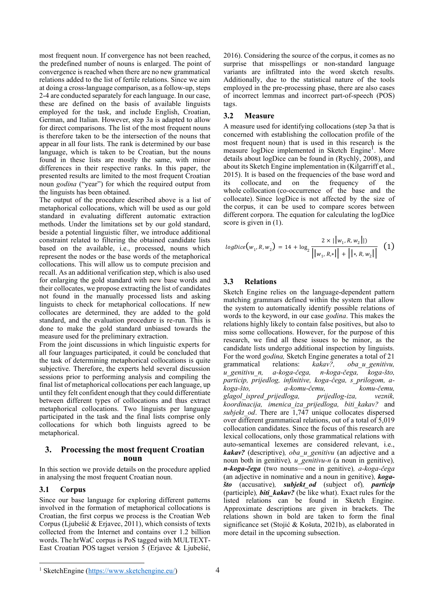most frequent noun. If convergence has not been reached, the predefined number of nouns is enlarged. The point of convergence is reached when there are no new grammatical relations added to the list of fertile relations. Since we aim at doing a cross-language comparison, as a follow-up, steps 2-4 are conducted separately for each language. In our case, these are defined on the basis of available linguists employed for the task, and include English, Croatian, German, and Italian. However, step 3a is adapted to allow for direct comparisons. The list of the most frequent nouns is therefore taken to be the intersection of the nouns that appear in all four lists. The rank is determined by our base language, which is taken to be Croatian, but the nouns found in these lists are mostly the same, with minor differences in their respective ranks. In this paper, the presented results are limited to the most frequent Croatian noun *godina* ("year") for which the required output from the linguists has been obtained.

The output of the procedure described above is a list of metaphorical collocations, which will be used as our gold standard in evaluating different automatic extraction methods. Under the limitations set by our gold standard, beside a potential linguistic filter, we introduce additional constraint related to filtering the obtained candidate lists based on the available, i.e., processed, nouns which represent the nodes or the base words of the metaphorical collocations. This will allow us to compute precision and recall. As an additional verification step, which is also used for enlarging the gold standard with new base words and their collocates, we propose extracting the list of candidates not found in the manually processed lists and asking linguists to check for metaphorical collocations. If new collocates are determined, they are added to the gold standard, and the evaluation procedure is re-run. This is done to make the gold standard unbiased towards the measure used for the preliminary extraction.

From the joint discussions in which linguistic experts for all four languages participated, it could be concluded that the task of determining metaphorical collocations is quite subjective. Therefore, the experts held several discussion sessions prior to performing analysis and compiling the final list of metaphorical collocations per each language, up until they felt confident enough that they could differentiate between different types of collocations and thus extract metaphorical collocations. Two linguists per language participated in the task and the final lists comprise only collocations for which both linguists agreed to be metaphorical.

### **3. Processing the most frequent Croatian noun**

In this section we provide details on the procedure applied in analysing the most frequent Croatian noun.

# **3.1 Corpus**

Since our base language for exploring different patterns involved in the formation of metaphorical collocations is Croatian, the first corpus we process is the Croatian Web Corpus (Ljubešić & Erjavec, 2011), which consists of texts collected from the Internet and contains over 1.2 billion words. The hrWaC corpus is PoS tagged with [MULTEXT-](https://www.sketchengine.co.uk/multext-east-croatian-part-of-speech-tagset/)[East Croatian POS](https://www.sketchengine.co.uk/multext-east-croatian-part-of-speech-tagset/) tagset version 5 (Erjavec & Ljubešić,

2016). Considering the source of the corpus, it comes as no surprise that misspellings or non-standard language variants are infiltrated into the word sketch results. Additionally, due to the statistical nature of the tools employed in the pre-processing phase, there are also cases of incorrect lemmas and incorrect part-of-speech (POS) tags.

#### **3.2 Measure**

A measure used for identifying collocations (step 3a that is concerned with establishing the collocation profile of the most frequent noun) that is used in this research is the measure logDice implemented in Sketch Engine<sup>1</sup>. More details about logDice can be found in (Rychlý, 2008), and about its Sketch Engine implementation in (Kilgarriff et al., 2015). It is based on the frequencies of the [base](https://www.sketchengine.eu/my_keywords/node/) word and its [collocate,](https://www.sketchengine.eu/my_keywords/collocate/) and on the frequency of the whole [collocation](https://www.sketchengine.eu/my_keywords/collocation/) (co-occurrence of the base and the collocate). Since logDice is not affected by the size of the corpus, it can be used to compare scores between different corpora. The equation for calculating the logDice score is given in  $(1)$ .

$$
logDice(w_1, R, w_2) = 14 + log_2 \frac{2 \times ||w_1, R, w_2||}{||w_1, R, *|| + ||*, R, w_2||}
$$
 (1)

# **3.3 Relations**

Sketch Engine relies on the language-dependent pattern matching grammars defined within the system that allow the system to automatically identify possible relations of words to the keyword, in our case *godina*. This makes the relations highly likely to contain false positives, but also to miss some collocations. However, for the purpose of this research, we find all these issues to be minor, as the candidate lists undergo additional inspection by linguists. For the word *godina,* Sketch Engine generates a total of 21 grammatical relations: *kakav?, oba\_u\_genitivu, u\_genitivu\_n, a-koga-čega, n-koga-čega, koga-što, particip, prijedlog, infinitive, koga-čega, s\_prilogom, akoga-što, a-komu-čemu, komu-čemu, glagol\_ispred\_prijedloga, prijedlog-iza, veznik, koordinacija, imenica\_iza\_prijedloga, biti\_kakav?* and *subjekt od.* There are  $\overline{1,747}$  unique collocates dispersed over different grammatical relations, out of a total of 5,019 collocation candidates. Since the focus of this research are lexical collocations, only those grammatical relations with auto-semantical lexemes are considered relevant, i.e., *kakav?* (descriptive)*, oba\_u\_genitivu* (an adjective and a noun both in genitive)*, u\_genitivu-n* (a noun in genitive)*, n-koga-čega* (two nouns—one in genitive)*, a-koga-čega* (an adjective in nominative and a noun in genitive)*, kogašto* (accusative)*, subjekt\_od* (subject of)*, particip* (participle)*, biti\_kakav?* (be like what). Exact rules for the listed relations can be found in Sketch Engine. Approximate descriptions are given in brackets. The relations shown in bold are taken to form the final significance set (Stojić & Košuta, 2021b), as elaborated in more detail in the upcoming subsection.

<sup>1</sup> SketchEngine [\(https://www.sketchengine.eu/\)](https://www.sketchengine.eu/)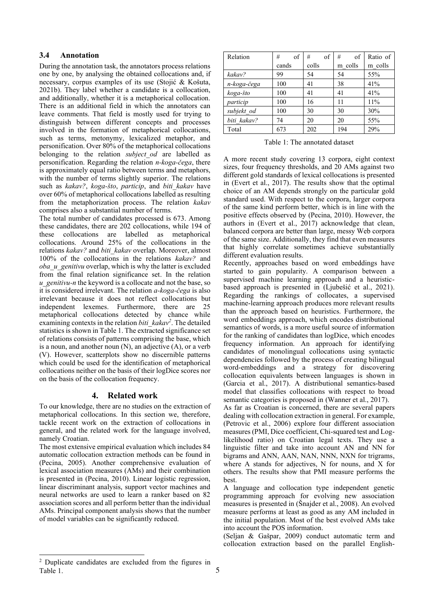#### **3.4 Annotation**

During the annotation task, the annotators process relations one by one, by analysing the obtained collocations and, if necessary, corpus examples of its use (Stojić & Košuta, 2021b). They label whether a candidate is a collocation, and additionally, whether it is a metaphorical collocation. There is an additional field in which the annotators can leave comments. That field is mostly used for trying to distinguish between different concepts and processes involved in the formation of metaphorical collocations, such as terms, metonymy, lexicalized metaphor, and personification. Over 80% of the metaphorical collocations belonging to the relation *subject\_od* are labelled as personification. Regarding the relation *n-koga-čega*, there is approximately equal ratio between terms and metaphors, with the number of terms slightly superior. The relations such as *kakav?*, *koga-što*, *particip*, and *biti\_kakav* have over 60% of metaphorical collocations labelled as resulting from the metaphorization process. The relation *kakav* comprises also a substantial number of terms.

The total number of candidates processed is 673. Among these candidates, there are 202 collocations, while 194 of these collocations are labelled as metaphorical collocations. Around 25% of the collocations in the relations *kakav?* and *biti\_kakav* overlap. Moreover, almost 100% of the collocations in the relations *kakav?* and *oba\_u\_genitivu* overlap, which is why the latter is excluded from the final relation significance set. In the relation *u\_genitivu-n* the keyword is a collocate and not the base, so it is considered irrelevant. The relation *a-koga-čega* is also irrelevant because it does not reflect collocations but independent lexemes. Furthermore, there are 25 metaphorical collocations detected by chance while examining contexts in the relation *biti kakav<sup>2</sup>*. The detailed statistics is shown in Table 1. The extracted significance set of relations consists of patterns comprising the base, which is a noun, and another noun (N), an adjective (A), or a verb (V). However, scatterplots show no discernible patterns which could be used for the identification of metaphorical collocations neither on the basis of their logDice scores nor on the basis of the collocation frequency.

# **4. Related work**

To our knowledge, there are no studies on the extraction of metaphorical collocations. In this section we, therefore, tackle recent work on the extraction of collocations in general, and the related work for the language involved, namely Croatian.

The most extensive empirical evaluation which includes 84 automatic collocation extraction methods can be found in (Pecina, 2005). Another comprehensive evaluation of lexical association measures (AMs) and their combination is presented in (Pecina, 2010). Linear logistic regression, linear discriminant analysis, support vector machines and neural networks are used to learn a ranker based on 82 association scores and all perform better than the individual AMs. Principal component analysis shows that the number of model variables can be significantly reduced.

| Relation    | of<br># | of<br># | of<br># | Ratio of |
|-------------|---------|---------|---------|----------|
|             | cands   | colls   | m colls | m colls  |
| kakav?      | 99      | 54      | 54      | 55%      |
| n-koga-čega | 100     | 41      | 38      | 41%      |
| koga-što    | 100     | 41      | 41      | 41%      |
| particip    | 100     | 16      | 11      | 11%      |
| subjekt od  | 100     | 30      | 30      | 30%      |
| biti kakav? | 74      | 20      | 20      | 55%      |
| Total       | 673     | 202     | 194     | 29%      |

Table 1: The annotated dataset

A more recent study covering 13 corpora, eight context sizes, four frequency thresholds, and 20 AMs against two different gold standards of lexical collocations is presented in (Evert et al., 2017). The results show that the optimal choice of an AM depends strongly on the particular gold standard used. With respect to the corpora, larger corpora of the same kind perform better, which is in line with the positive effects observed by (Pecina, 2010). However, the authors in (Evert et al., 2017) acknowledge that clean, balanced corpora are better than large, messy Web corpora of the same size. Additionally, they find that even measures that highly correlate sometimes achieve substantially different evaluation results.

Recently, approaches based on word embeddings have started to gain popularity. A comparison between a supervised machine learning approach and a heuristicbased approach is presented in (Ljubešić et al., 2021). Regarding the rankings of collocates, a supervised machine-learning approach produces more relevant results than the approach based on heuristics. Furthermore, the word embeddings approach, which encodes distributional semantics of words, is a more useful source of information for the ranking of candidates than logDice, which encodes frequency information. An approach for identifying candidates of monolingual collocations using syntactic dependencies followed by the process of creating bilingual word-embeddings and a strategy for discovering collocation equivalents between languages is shown in (Garcia et al., 2017). A distributional semantics-based model that classifies collocations with respect to broad semantic categories is proposed in (Wanner et al., 2017).

As far as Croatian is concerned, there are several papers dealing with collocation extraction in general. For example, (Petrovic et al., 2006) explore four different association measures (PMI, Dice coefficient, Chi-squared test and Loglikelihood ratio) on Croatian legal texts. They use a linguistic filter and take into account AN and NN for bigrams and ANN, AAN, NAN, NNN, NXN for trigrams, where A stands for adjectives, N for nouns, and X for others. The results show that PMI measure performs the best.

A language and collocation type independent genetic programming approach for evolving new association measures is presented in (Šnajder et al., 2008). An evolved measure performs at least as good as any AM included in the initial population. Most of the best evolved AMs take into account the POS information.

(Seljan & Gašpar, 2009) conduct automatic term and collocation extraction based on the parallel English-

<sup>2</sup> Duplicate candidates are excluded from the figures in Table 1.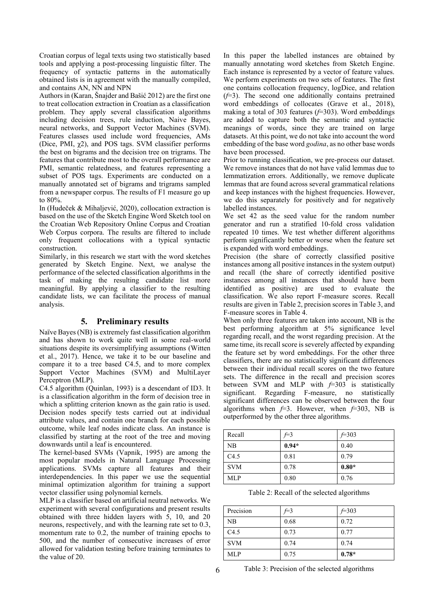Croatian corpus of legal texts using two statistically based tools and applying a post-processing linguistic filter. The frequency of syntactic patterns in the automatically obtained lists is in agreement with the manually compiled, and contains AN, NN and NPN

Authors in (Karan, Šnajder and Bašić 2012) are the first one to treat collocation extraction in Croatian as a classification problem. They apply several classification algorithms including decision trees, rule induction, Naive Bayes, neural networks, and Support Vector Machines (SVM). Features classes used include word frequencies, AMs (Dice, PMI,  $\chi$ 2), and POS tags. SVM classifier performs the best on bigrams and the decision tree on trigrams. The features that contribute most to the overall performance are PMI, semantic relatedness, and features representing a subset of POS tags. Experiments are conducted on a manually annotated set of bigrams and trigrams sampled from a newspaper corpus. The results of F1 measure go up to 80%.

In (Hudeček & Mihaljević, 2020), collocation extraction is based on the use of the Sketch Engine Word Sketch tool on the Croatian Web Repository Online Corpus and Croatian Web Corpus corpora. The results are filtered to include only frequent collocations with a typical syntactic construction.

Similarly, in this research we start with the word sketches generated by Sketch Engine. Next, we analyse the performance of the selected classification algorithms in the task of making the resulting candidate list more meaningful. By applying a classifier to the resulting candidate lists, we can facilitate the process of manual analysis.

#### **5. Preliminary results**

Naïve Bayes(NB) is extremely fast classification algorithm and has shown to work quite well in some real-world situations despite its oversimplifying assumptions (Witten et al., 2017). Hence, we take it to be our baseline and compare it to a tree based C4.5, and to more complex Support Vector Machines (SVM) and MultiLayer Perceptron (MLP).

C4.5 algorithm (Quinlan, 1993) is a descendant of ID3. It is a classification algorithm in the form of decision tree in which a splitting criterion known as the gain ratio is used. Decision nodes specify tests carried out at individual attribute values, and contain one branch for each possible outcome, while leaf nodes indicate class. An instance is classified by starting at the root of the tree and moving downwards until a leaf is encountered.

The kernel-based SVMs (Vapnik, 1995) are among the most popular models in Natural Language Processing applications. SVMs capture all features and their interdependencies. In this paper we use the sequential minimal optimization algorithm for training a support vector classifier using polynomial kernels.

MLP is a classifier based on artificial neutral networks. We experiment with several configurations and present results obtained with three hidden layers with  $\overline{5}$ , 10, and 20 neurons, respectively, and with the learning rate set to 0.3, momentum rate to 0.2, the number of training epochs to 500, and the number of consecutive increases of error allowed for validation testing before training terminates to the value of 20.

In this paper the labelled instances are obtained by manually annotating word sketches from Sketch Engine. Each instance is represented by a vector of feature values. We perform experiments on two sets of features. The first one contains collocation frequency, logDice, and relation (*f*=3). The second one additionally contains pretrained word embeddings of collocates (Grave et al., 2018), making a total of 303 features (*f*=303). Word embeddings are added to capture both the semantic and syntactic meanings of words, since they are trained on large datasets. At this point, we do not take into account the word embedding of the base word *godina*, as no other base words have been processed.

Prior to running classification, we pre-process our dataset. We remove instances that do not have valid lemmas due to lemmatization errors. Additionally, we remove duplicate lemmas that are found across several grammatical relations and keep instances with the highest frequencies. However, we do this separately for positively and for negatively labelled instances.

We set 42 as the seed value for the random number generator and run a stratified 10-fold cross validation repeated 10 times. We test whether different algorithms perform significantly better or worse when the feature set is expanded with word embeddings.

Precision (the share of correctly classified positive instances among all positive instances in the system output) and recall (the share of correctly identified positive instances among all instances that should have been identified as positive) are used to evaluate the classification. We also report F-measure scores. Recall results are given in Table 2, precision scores in Table 3, and F-measure scores in Table 4.

When only three features are taken into account, NB is the best performing algorithm at 5% significance level regarding recall, and the worst regarding precision. At the same time, its recall score is severely affected by expanding the feature set by word embeddings. For the other three classifiers, there are no statistically significant differences between their individual recall scores on the two feature sets. The difference in the recall and precision scores between SVM and MLP with *f*=303 is statistically significant. Regarding F-measure, no statistically significant differences can be observed between the four algorithms when  $f=3$ . However, when  $f=303$ , NB is outperformed by the other three algorithms.

| Recall     | $f=3$   | $f=303$ |
|------------|---------|---------|
| NB         | $0.94*$ | 0.40    |
| C4.5       | 0.81    | 0.79    |
| <b>SVM</b> | 0.78    | $0.80*$ |
| <b>MLP</b> | 0.80    | 0.76    |

Table 2: Recall of the selected algorithms

| Precision  | $f=3$ | $f=303$ |
|------------|-------|---------|
| NB         | 0.68  | 0.72    |
| C4.5       | 0.73  | 0.77    |
| <b>SVM</b> | 0.74  | 0.74    |
| <b>MLP</b> | 0.75  | $0.78*$ |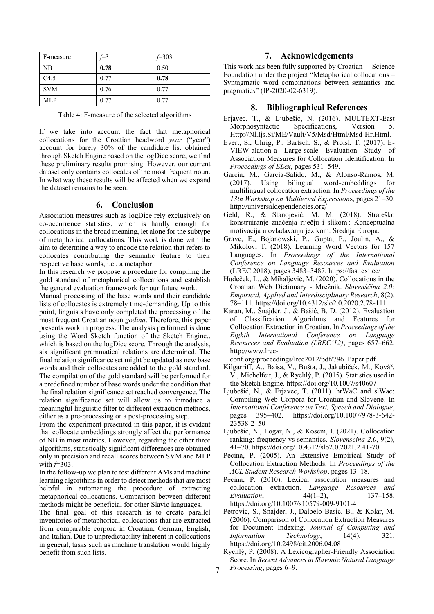| F-measure  | $f=3$ | $f=303$ |
|------------|-------|---------|
| <b>NB</b>  | 0.78  | 0.50    |
| C4.5       | 0.77  | 0.78    |
| <b>SVM</b> | 0.76  | 0.77    |
| <b>MLP</b> | 0.77  | 0.77    |

Table 4: F-measure of the selected algorithms

If we take into account the fact that metaphorical collocations for the Croatian headword *year* ("year") account for barely 30% of the candidate list obtained through Sketch Engine based on the logDice score, we find these preliminary results promising. However, our current dataset only contains collocates of the most frequent noun. In what way these results will be affected when we expand the dataset remains to be seen.

#### **6. Conclusion**

Association measures such as logDice rely exclusively on co-occurrence statistics, which is hardly enough for collocations in the broad meaning, let alone for the subtype of metaphorical collocations. This work is done with the aim to determine a way to encode the relation that refers to collocates contributing the semantic feature to their respective base words, i.e., a metaphor.

In this research we propose a procedure for compiling the gold standard of metaphorical collocations and establish the general evaluation framework for our future work.

Manual processing of the base words and their candidate lists of collocates is extremely time-demanding. Up to this point, linguists have only completed the processing of the most frequent Croatian noun *godina*. Therefore, this paper presents work in progress. The analysis performed is done using the Word Sketch function of the Sketch Engine,, which is based on the logDice score. Through the analysis, six significant grammatical relations are determined. The final relation significance set might be updated as new base words and their collocates are added to the gold standard. The compilation of the gold standard will be performed for a predefined number of base words under the condition that the final relation significance set reached convergence. The relation significance set will allow us to introduce a meaningful linguistic filter to different extraction methods, either as a pre-processing or a post-processing step.

From the experiment presented in this paper, it is evident that collocate embeddings strongly affect the performance of NB in most metrics. However, regarding the other three algorithms, statistically significant differences are obtained only in precision and recall scores between SVM and MLP with *f*=303.

In the follow-up we plan to test different AMs and machine learning algorithms in order to detect methods that are most helpful in automating the procedure of extracting metaphorical collocations. Comparison between different methods might be beneficial for other Slavic languages.

The final goal of this research is to create parallel inventories of metaphorical collocations that are extracted from comparable corpora in Croatian, German, English, and Italian. Due to unpredictability inherent in collocations in general, tasks such as machine translation would highly benefit from such lists.

#### **7. Acknowledgements**

This work has been fully supported by Croatian Science Foundation under the project "Metaphorical collocations – Syntagmatic word combinations between semantics and pragmatic*s*" (IP-2020-02-6319).

#### **8. Bibliographical References**

- Erjavec, T., & Ljubešić, N. (2016). MULTEXT-East Morphosyntactic Specifications, Version Http://Nl.Ijs.Si/ME/Vault/V5/Msd/Html/Msd-Hr.Html.
- Evert, S., Uhrig, P., Bartsch, S., & Proisl, T. (2017). E-VIEW-alation-a Large-scale Evaluation Study of Association Measures for Collocation Identification. In *Proceedings of ELex*, pages 531–549.
- Garcia, M., García-Salido, M., & Alonso-Ramos, M. Using bilingual word-embeddings for multilingual collocation extraction. In *Proceedings of the 13th Workshop on Multiword Expression*s, pages 21–30. http://universaldependencies.org/
- Geld, R., & Stanojević, M. M. (2018). Strateško konstruiranje značenja riječju i slikom : Konceptualna motivacija u ovladavanju jezikom. Srednja Europa.
- Grave, E., Bojanowski, P., Gupta, P., Joulin, A., & Mikolov, T. (2018). Learning Word Vectors for 157 Languages. In *Proceedings of the International Conference on Language Resources and Evaluation* (LREC 2018), pages 3483–3487. https://fasttext.cc/
- Hudeček, L., & Mihaljević, M. (2020). Collocations in the Croatian Web Dictionary - Mrežnik. *Slovenščina 2.0: Empirical, Applied and Interdisciplinary Research*, 8(2), 78–111. https://doi.org/10.4312/slo2.0.2020.2.78-111
- Karan, M., Šnajder, J., & Bašić, B. D. (2012). Evaluation of Classification Algorithms and Features for Collocation Extraction in Croatian. In *Proceedings of the Eighth International Conference on Language Resources and Evaluation (LREC'12)*, pages 657–662. http://www.lrec-

conf.org/proceedings/lrec2012/pdf/796\_Paper.pdf

- Kilgarriff, A., Baisa, V., Bušta, J., Jakubíček, M., Kovář, V., Michelfeit, J., & Rychlý, P. (2015). Statistics used in the Sketch Engine. https://doi.org/10.1007/s40607
- Ljubešić, N., & Erjavec, T. (2011). hrWaC and slWac: Compiling Web Corpora for Croatian and Slovene. In *International Conference on Text, Speech and Dialogue*, pages 395–402. https://doi.org/10.1007/978-3-642- 23538-2\_50
- Ljubešić, N., Logar, N., & Kosem, I. (2021). Collocation ranking: frequency vs semantics. *Slovenscina 2.0*, 9(2), 41–70. https://doi.org/10.4312/slo2.0.2021.2.41-70
- Pecina, P. (2005). An Extensive Empirical Study of Collocation Extraction Methods. In *Proceedings of the ACL Student Research Workshop*, pages 13–18.
- Pecina, P. (2010). Lexical association measures and collocation extraction. *Language Resources and Evaluation*, 44(1–2), 137–158. https://doi.org/10.1007/s10579-009-9101-4
- Petrovic, S., Snajder, J., Dalbelo Basic, B., & Kolar, M. (2006). Comparison of Collocation Extraction Measures for Document Indexing. *Journal of Computing and Information Technology*, 14(4), 321. https://doi.org/10.2498/cit.2006.04.08
- Rychlý, P. (2008). A Lexicographer-Friendly Association Score. In *Recent Advances in Slavonic Natural Language Processing*, pages 6–9.